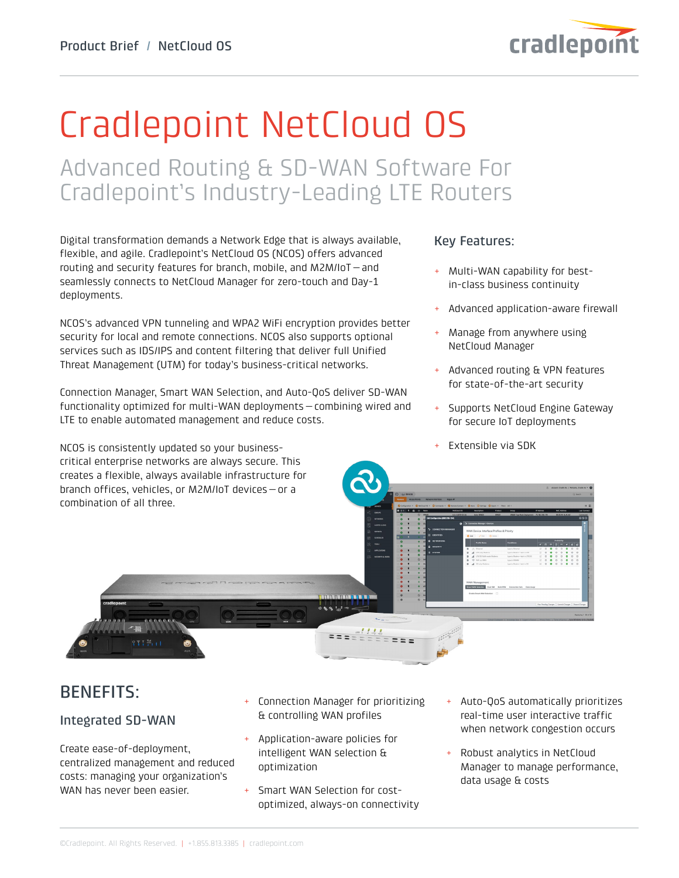

# Cradlepoint NetCloud OS

Advanced Routing & SD-WAN Software For Cradlepoint's Industry-Leading LTE Routers

Digital transformation demands a Network Edge that is always available, flexible, and agile. Cradlepoint's NetCloud OS (NCOS) offers advanced routing and security features for branch, mobile, and M2M/IoT—and seamlessly connects to NetCloud Manager for zero-touch and Day-1 deployments.

NCOS's advanced VPN tunneling and WPA2 WiFi encryption provides better security for local and remote connections. NCOS also supports optional services such as IDS/IPS and content filtering that deliver full Unified Threat Management (UTM) for today's business-critical networks.

Connection Manager, Smart WAN Selection, and Auto-QoS deliver SD-WAN functionality optimized for multi-WAN deployments—combining wired and LTE to enable automated management and reduce costs.

NCOS is consistently updated so your businesscritical enterprise networks are always secure. This creates a flexible, always available infrastructure for

### Key Features:

- + Multi-WAN capability for bestin-class business continuity
- + Advanced application-aware firewall
- Manage from anywhere using NetCloud Manager
- + Advanced routing & VPN features for state-of-the-art security
- Supports NetCloud Engine Gateway for secure IoT deployments
- Extensible via SDK



# BENEFITS:

### Integrated SD-WAN

Create ease-of-deployment, centralized management and reduced costs: managing your organization's WAN has never been easier.

- Connection Manager for prioritizing & controlling WAN profiles
- Application-aware policies for intelligent WAN selection & optimization
- + Smart WAN Selection for costoptimized, always-on connectivity
- Auto-QoS automatically prioritizes real-time user interactive traffic when network congestion occurs
- Robust analytics in NetCloud Manager to manage performance, data usage & costs